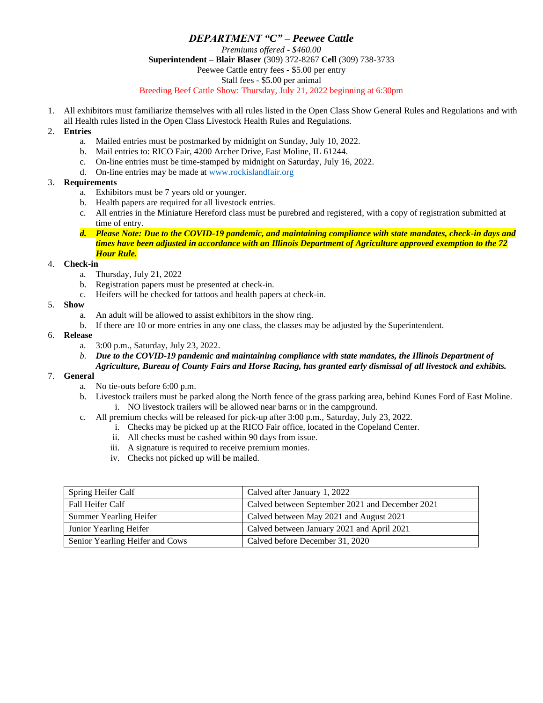## *DEPARTMENT "C" – Peewee Cattle Premiums offered - \$460.00* **Superintendent – Blair Blaser** (309) 372-8267 **Cell** (309) 738-3733 Peewee Cattle entry fees - \$5.00 per entry Stall fees - \$5.00 per animal Breeding Beef Cattle Show: Thursday, July 21, 2022 beginning at 6:30pm

1. All exhibitors must familiarize themselves with all rules listed in the Open Class Show General Rules and Regulations and with all Health rules listed in the Open Class Livestock Health Rules and Regulations.

## 2. **Entries**

- a. Mailed entries must be postmarked by midnight on Sunday, July 10, 2022.
- b. Mail entries to: RICO Fair, 4200 Archer Drive, East Moline, IL 61244.
- c. On-line entries must be time-stamped by midnight on Saturday, July 16, 2022.
- d. On-line entries may be made a[t www.rockislandfair.org](http://www.rockislandfair.org/)

#### 3. **Requirements**

- a. Exhibitors must be 7 years old or younger.
- b. Health papers are required for all livestock entries.
- c. All entries in the Miniature Hereford class must be purebred and registered, with a copy of registration submitted at time of entry.
- *d. Please Note: Due to the COVID-19 pandemic, and maintaining compliance with state mandates, check-in days and times have been adjusted in accordance with an Illinois Department of Agriculture approved exemption to the 72 Hour Rule.*

### 4. **Check-in**

- a. Thursday, July 21, 2022
- b. Registration papers must be presented at check-in.
- c. Heifers will be checked for tattoos and health papers at check-in.

#### 5. **Show**

- a. An adult will be allowed to assist exhibitors in the show ring.
- b. If there are 10 or more entries in any one class, the classes may be adjusted by the Superintendent.

#### 6. **Release**

- a. 3:00 p.m., Saturday, July 23, 2022.
- *b. Due to the COVID-19 pandemic and maintaining compliance with state mandates, the Illinois Department of*
- *Agriculture, Bureau of County Fairs and Horse Racing, has granted early dismissal of all livestock and exhibits.*

# 7. **General**

- a. No tie-outs before 6:00 p.m.
- b. Livestock trailers must be parked along the North fence of the grass parking area, behind Kunes Ford of East Moline. i. NO livestock trailers will be allowed near barns or in the campground.
- c. All premium checks will be released for pick-up after 3:00 p.m., Saturday, July 23, 2022.
	- i. Checks may be picked up at the RICO Fair office, located in the Copeland Center.
	- ii. All checks must be cashed within 90 days from issue.
	- iii. A signature is required to receive premium monies.
	- iv. Checks not picked up will be mailed.

| Spring Heifer Calf              | Calved after January 1, 2022                    |
|---------------------------------|-------------------------------------------------|
| Fall Heifer Calf                | Calved between September 2021 and December 2021 |
| Summer Yearling Heifer          | Calved between May 2021 and August 2021         |
| Junior Yearling Heifer          | Calved between January 2021 and April 2021      |
| Senior Yearling Heifer and Cows | Calved before December 31, 2020                 |